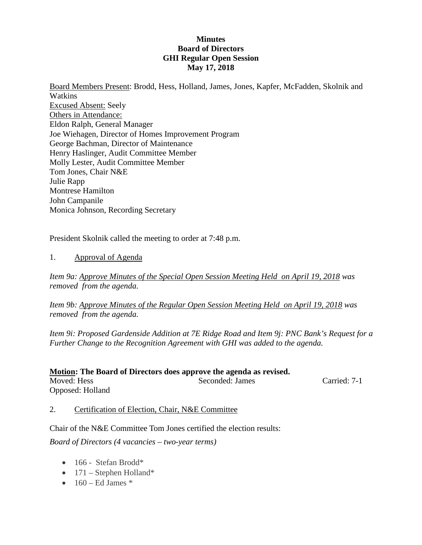#### **Minutes Board of Directors GHI Regular Open Session May 17, 2018**

Board Members Present: Brodd, Hess, Holland, James, Jones, Kapfer, McFadden, Skolnik and Watkins Excused Absent: Seely Others in Attendance: Eldon Ralph, General Manager Joe Wiehagen, Director of Homes Improvement Program George Bachman, Director of Maintenance Henry Haslinger, Audit Committee Member Molly Lester, Audit Committee Member Tom Jones, Chair N&E Julie Rapp Montrese Hamilton John Campanile Monica Johnson, Recording Secretary

President Skolnik called the meeting to order at 7:48 p.m.

#### 1. Approval of Agenda

*Item 9a: Approve Minutes of the Special Open Session Meeting Held on April 19, 2018 was removed from the agenda.*

*Item 9b: Approve Minutes of the Regular Open Session Meeting Held on April 19, 2018 was removed from the agenda.*

*Item 9i: Proposed Gardenside Addition at 7E Ridge Road and Item 9j: PNC Bank's Request for a Further Change to the Recognition Agreement with GHI was added to the agenda.*

| Motion: The Board of Directors does approve the agenda as revised. |                 |              |  |
|--------------------------------------------------------------------|-----------------|--------------|--|
| Moved: Hess                                                        | Seconded: James | Carried: 7-1 |  |
| Opposed: Holland                                                   |                 |              |  |

2. Certification of Election, Chair, N&E Committee

Chair of the N&E Committee Tom Jones certified the election results:

*Board of Directors (4 vacancies – two-year terms)*

- 166 Stefan Brodd\*
- $171$  Stephen Holland\*
- $\bullet$  160 Ed James  $*$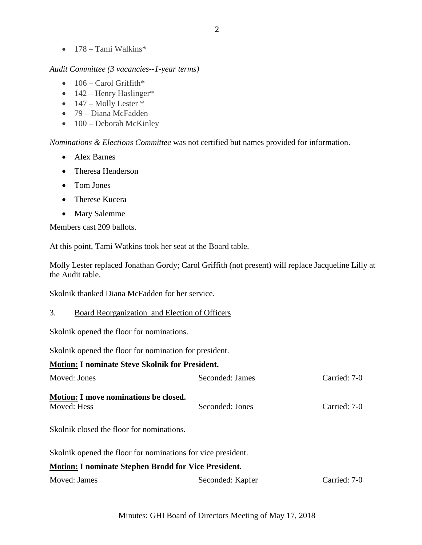• 178 – Tami Walkins\*

#### *Audit Committee (3 vacancies--1-year terms)*

- $\bullet$  106 Carol Griffith\*
- $\bullet$  142 Henry Haslinger\*
- $\bullet$  147 Molly Lester  $*$
- 79 Diana McFadden
- $\bullet$  100 Deborah McKinley

*Nominations & Elections Committee* was not certified but names provided for information.

- Alex Barnes
- Theresa Henderson
- Tom Jones
- Therese Kucera
- Mary Salemme

Members cast 209 ballots.

At this point, Tami Watkins took her seat at the Board table.

Molly Lester replaced Jonathan Gordy; Carol Griffith (not present) will replace Jacqueline Lilly at the Audit table.

Skolnik thanked Diana McFadden for her service.

#### 3. Board Reorganization and Election of Officers

Skolnik opened the floor for nominations.

Skolnik opened the floor for nomination for president.

### **Motion: I nominate Steve Skolnik for President.**

| Moved: Jones                                                 | Seconded: James  | Carried: 7-0 |
|--------------------------------------------------------------|------------------|--------------|
| Motion: I move nominations be closed.<br>Moved: Hess         | Seconded: Jones  | Carried: 7-0 |
| Skolnik closed the floor for nominations.                    |                  |              |
| Skolnik opened the floor for nominations for vice president. |                  |              |
| <b>Motion: I nominate Stephen Brodd for Vice President.</b>  |                  |              |
| Moved: James                                                 | Seconded: Kapfer | Carried: 7-0 |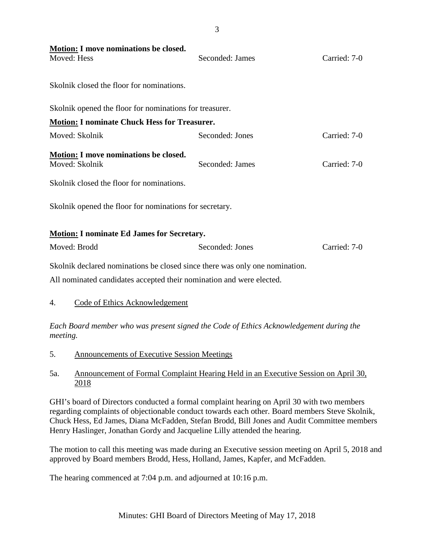| <b>Motion:</b> I move nominations be closed.<br>Moved: Hess                                                                                         | Seconded: James | Carried: 7-0 |
|-----------------------------------------------------------------------------------------------------------------------------------------------------|-----------------|--------------|
| Skolnik closed the floor for nominations.                                                                                                           |                 |              |
| Skolnik opened the floor for nominations for treasurer.                                                                                             |                 |              |
| <b>Motion: I nominate Chuck Hess for Treasurer.</b>                                                                                                 |                 |              |
| Moved: Skolnik                                                                                                                                      | Seconded: Jones | Carried: 7-0 |
| <b>Motion: I move nominations be closed.</b><br>Moved: Skolnik<br>Skolnik closed the floor for nominations.                                         | Seconded: James | Carried: 7-0 |
| Skolnik opened the floor for nominations for secretary.                                                                                             |                 |              |
| <b>Motion: I nominate Ed James for Secretary.</b>                                                                                                   |                 |              |
| Moved: Brodd                                                                                                                                        | Seconded: Jones | Carried: 7-0 |
| Skolnik declared nominations be closed since there was only one nomination.<br>All nominated candidates accepted their nomination and were elected. |                 |              |
| <b>Code of Ethics Acknowledgement</b><br>4.                                                                                                         |                 |              |

*Each Board member who was present signed the Code of Ethics Acknowledgement during the meeting.*

- 5. Announcements of Executive Session Meetings
- 5a. Announcement of Formal Complaint Hearing Held in an Executive Session on April 30, 2018

GHI's board of Directors conducted a formal complaint hearing on April 30 with two members regarding complaints of objectionable conduct towards each other. Board members Steve Skolnik, Chuck Hess, Ed James, Diana McFadden, Stefan Brodd, Bill Jones and Audit Committee members Henry Haslinger, Jonathan Gordy and Jacqueline Lilly attended the hearing.

The motion to call this meeting was made during an Executive session meeting on April 5, 2018 and approved by Board members Brodd, Hess, Holland, James, Kapfer, and McFadden.

The hearing commenced at 7:04 p.m. and adjourned at 10:16 p.m.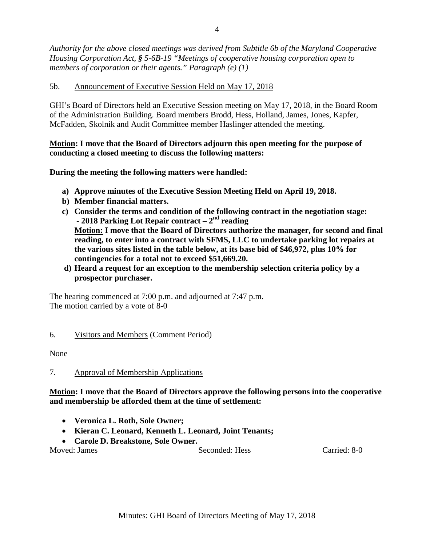*Authority for the above closed meetings was derived from Subtitle 6b of the Maryland Cooperative Housing Corporation Act, § 5-6B-19 "Meetings of cooperative housing corporation open to members of corporation or their agents." Paragraph (e) (1)*

### 5b. Announcement of Executive Session Held on May 17, 2018

GHI's Board of Directors held an Executive Session meeting on May 17, 2018, in the Board Room of the Administration Building. Board members Brodd, Hess, Holland, James, Jones, Kapfer, McFadden, Skolnik and Audit Committee member Haslinger attended the meeting.

### **Motion: I move that the Board of Directors adjourn this open meeting for the purpose of conducting a closed meeting to discuss the following matters:**

**During the meeting the following matters were handled:** 

- **a) Approve minutes of the Executive Session Meeting Held on April 19, 2018.**
- **b) Member financial matters.**
- **c) Consider the terms and condition of the following contract in the negotiation stage: - 2018 Parking Lot Repair contract – 2nd reading**

**Motion: I move that the Board of Directors authorize the manager, for second and final reading, to enter into a contract with SFMS, LLC to undertake parking lot repairs at the various sites listed in the table below, at its base bid of \$46,972, plus 10% for contingencies for a total not to exceed \$51,669.20.**

 **d) Heard a request for an exception to the membership selection criteria policy by a prospector purchaser.**

The hearing commenced at 7:00 p.m. and adjourned at 7:47 p.m. The motion carried by a vote of 8-0

### 6. Visitors and Members (Comment Period)

None

### 7. Approval of Membership Applications

**Motion: I move that the Board of Directors approve the following persons into the cooperative and membership be afforded them at the time of settlement:**

- **Veronica L. Roth, Sole Owner;**
- **Kieran C. Leonard, Kenneth L. Leonard, Joint Tenants;**

• **Carole D. Breakstone, Sole Owner.**

Moved: James Seconded: Hess Carried: 8-0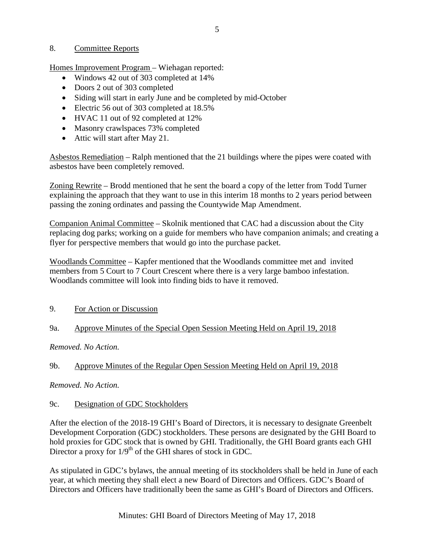#### 8. Committee Reports

Homes Improvement Program – Wiehagan reported:

- Windows 42 out of 303 completed at 14%
- Doors 2 out of 303 completed
- Siding will start in early June and be completed by mid-October
- Electric 56 out of 303 completed at 18.5%
- HVAC 11 out of 92 completed at 12%
- Masonry crawlspaces 73% completed
- Attic will start after May 21.

Asbestos Remediation – Ralph mentioned that the 21 buildings where the pipes were coated with asbestos have been completely removed.

Zoning Rewrite – Brodd mentioned that he sent the board a copy of the letter from Todd Turner explaining the approach that they want to use in this interim 18 months to 2 years period between passing the zoning ordinates and passing the Countywide Map Amendment.

Companion Animal Committee – Skolnik mentioned that CAC had a discussion about the City replacing dog parks; working on a guide for members who have companion animals; and creating a flyer for perspective members that would go into the purchase packet.

Woodlands Committee – Kapfer mentioned that the Woodlands committee met and invited members from 5 Court to 7 Court Crescent where there is a very large bamboo infestation. Woodlands committee will look into finding bids to have it removed.

9. For Action or Discussion

# 9a. Approve Minutes of the Special Open Session Meeting Held on April 19, 2018

*Removed. No Action.*

# 9b. Approve Minutes of the Regular Open Session Meeting Held on April 19, 2018

*Removed. No Action.*

### 9c. Designation of GDC Stockholders

After the election of the 2018-19 GHI's Board of Directors, it is necessary to designate Greenbelt Development Corporation (GDC) stockholders. These persons are designated by the GHI Board to hold proxies for GDC stock that is owned by GHI. Traditionally, the GHI Board grants each GHI Director a proxy for  $1/9<sup>th</sup>$  of the GHI shares of stock in GDC.

As stipulated in GDC's bylaws, the annual meeting of its stockholders shall be held in June of each year, at which meeting they shall elect a new Board of Directors and Officers. GDC's Board of Directors and Officers have traditionally been the same as GHI's Board of Directors and Officers.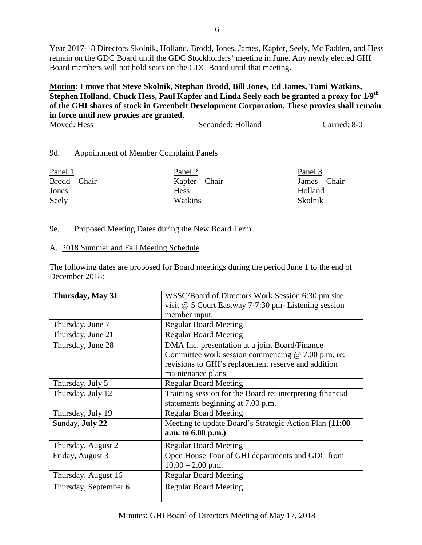Year 2017-18 Directors Skolnik, Holland, Brodd, Jones, James, Kapfer, Seely, Mc Fadden, and Hess remain on the GDC Board until the GDC Stockholders' meeting in June. Any newly elected GHI Board members will not hold seats on the GDC Board until that meeting.

#### **Motion: I move that Steve Skolnik, Stephan Brodd, Bill Jones, Ed James, Tami Watkins,**  Stephen Holland, Chuck Hess, Paul Kapfer and Linda Seely each be granted a proxy for 1/9<sup>th</sup> **of the GHI shares of stock in Greenbelt Development Corporation. These proxies shall remain in force until new proxies are granted.** Moved: Hess Seconded: Holland Carried: 8-0

## 9d. Appointment of Member Complaint Panels

| Panel 1       | Panel 2        | Panel 3       |
|---------------|----------------|---------------|
| Brodd – Chair | Kapfer – Chair | James – Chair |
| Jones         | <b>Hess</b>    | Holland       |
| Seely         | <b>Watkins</b> | Skolnik       |

### 9e. Proposed Meeting Dates during the New Board Term

#### A. 2018 Summer and Fall Meeting Schedule

The following dates are proposed for Board meetings during the period June 1 to the end of December 2018:

| Thursday, May 31      | WSSC/Board of Directors Work Session 6:30 pm site         |
|-----------------------|-----------------------------------------------------------|
|                       | visit $@$ 5 Court Eastway 7-7:30 pm- Listening session    |
|                       | member input.                                             |
| Thursday, June 7      | <b>Regular Board Meeting</b>                              |
| Thursday, June 21     | <b>Regular Board Meeting</b>                              |
| Thursday, June 28     | DMA Inc. presentation at a joint Board/Finance            |
|                       | Committee work session commencing $@ 7.00$ p.m. re:       |
|                       | revisions to GHI's replacement reserve and addition       |
|                       | maintenance plans                                         |
| Thursday, July 5      | <b>Regular Board Meeting</b>                              |
| Thursday, July 12     | Training session for the Board re: interpreting financial |
|                       | statements beginning at 7.00 p.m.                         |
| Thursday, July 19     | <b>Regular Board Meeting</b>                              |
| Sunday, July 22       | Meeting to update Board's Strategic Action Plan (11:00    |
|                       | a.m. to 6.00 p.m.)                                        |
| Thursday, August 2    | <b>Regular Board Meeting</b>                              |
| Friday, August 3      | Open House Tour of GHI departments and GDC from           |
|                       | $10.00 - 2.00$ p.m.                                       |
| Thursday, August 16   | <b>Regular Board Meeting</b>                              |
| Thursday, September 6 | <b>Regular Board Meeting</b>                              |
|                       |                                                           |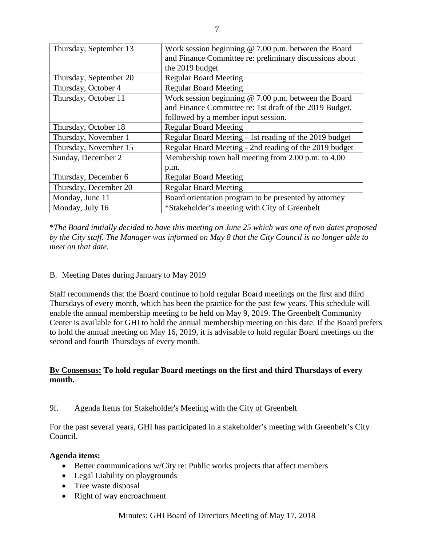| Thursday, September 13 | Work session beginning $@$ 7.00 p.m. between the Board  |
|------------------------|---------------------------------------------------------|
|                        | and Finance Committee re: preliminary discussions about |
|                        | the 2019 budget                                         |
| Thursday, September 20 | <b>Regular Board Meeting</b>                            |
| Thursday, October 4    | <b>Regular Board Meeting</b>                            |
| Thursday, October 11   | Work session beginning @ 7.00 p.m. between the Board    |
|                        | and Finance Committee re: 1st draft of the 2019 Budget, |
|                        | followed by a member input session.                     |
| Thursday, October 18   | <b>Regular Board Meeting</b>                            |
| Thursday, November 1   | Regular Board Meeting - 1st reading of the 2019 budget  |
| Thursday, November 15  | Regular Board Meeting - 2nd reading of the 2019 budget  |
| Sunday, December 2     | Membership town hall meeting from 2.00 p.m. to 4.00     |
|                        | p.m.                                                    |
| Thursday, December 6   | <b>Regular Board Meeting</b>                            |
| Thursday, December 20  | <b>Regular Board Meeting</b>                            |
| Monday, June 11        | Board orientation program to be presented by attorney   |
| Monday, July 16        | *Stakeholder's meeting with City of Greenbelt           |

\**The Board initially decided to have this meeting on June 25 which was one of two dates proposed by the City staff. The Manager was informed on May 8 that the City Council is no longer able to meet on that date.*

### B. Meeting Dates during January to May 2019

Staff recommends that the Board continue to hold regular Board meetings on the first and third Thursdays of every month, which has been the practice for the past few years. This schedule will enable the annual membership meeting to be held on May 9, 2019. The Greenbelt Community Center is available for GHI to hold the annual membership meeting on this date. If the Board prefers to hold the annual meeting on May 16, 2019, it is advisable to hold regular Board meetings on the second and fourth Thursdays of every month.

### **By Consensus: To hold regular Board meetings on the first and third Thursdays of every month.**

### 9f. Agenda Items for Stakeholder's Meeting with the City of Greenbelt

For the past several years, GHI has participated in a stakeholder's meeting with Greenbelt's City Council.

#### **Agenda items:**

- Better communications w/City re: Public works projects that affect members
- Legal Liability on playgrounds
- Tree waste disposal
- Right of way encroachment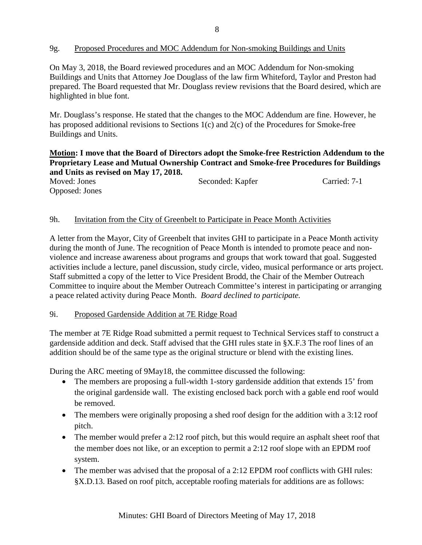### 9g. Proposed Procedures and MOC Addendum for Non-smoking Buildings and Units

On May 3, 2018, the Board reviewed procedures and an MOC Addendum for Non-smoking Buildings and Units that Attorney Joe Douglass of the law firm Whiteford, Taylor and Preston had prepared. The Board requested that Mr. Douglass review revisions that the Board desired, which are highlighted in blue font.

Mr. Douglass's response. He stated that the changes to the MOC Addendum are fine. However, he has proposed additional revisions to Sections 1(c) and 2(c) of the Procedures for Smoke-free Buildings and Units.

#### **Motion: I move that the Board of Directors adopt the Smoke-free Restriction Addendum to the Proprietary Lease and Mutual Ownership Contract and Smoke-free Procedures for Buildings and Units as revised on May 17, 2018.**

| Moved: Jones   | Seconded: Kapfer | Carried: 7-1 |
|----------------|------------------|--------------|
| Opposed: Jones |                  |              |

#### 9h. Invitation from the City of Greenbelt to Participate in Peace Month Activities

A letter from the Mayor, City of Greenbelt that invites GHI to participate in a Peace Month activity during the month of June. The recognition of Peace Month is intended to promote peace and nonviolence and increase awareness about programs and groups that work toward that goal. Suggested activities include a lecture, panel discussion, study circle, video, musical performance or arts project. Staff submitted a copy of the letter to Vice President Brodd, the Chair of the Member Outreach Committee to inquire about the Member Outreach Committee's interest in participating or arranging a peace related activity during Peace Month. *Board declined to participate.*

#### 9i. Proposed Gardenside Addition at 7E Ridge Road

The member at 7E Ridge Road submitted a permit request to Technical Services staff to construct a gardenside addition and deck. Staff advised that the GHI rules state in §X.F.3 The roof lines of an addition should be of the same type as the original structure or blend with the existing lines.

During the ARC meeting of 9May18, the committee discussed the following:

- The members are proposing a full-width 1-story gardenside addition that extends 15' from the original gardenside wall. The existing enclosed back porch with a gable end roof would be removed.
- The members were originally proposing a shed roof design for the addition with a 3:12 roof pitch.
- The member would prefer a 2:12 roof pitch, but this would require an asphalt sheet roof that the member does not like, or an exception to permit a 2:12 roof slope with an EPDM roof system.
- The member was advised that the proposal of a 2:12 EPDM roof conflicts with GHI rules: §X.D.13. Based on roof pitch, acceptable roofing materials for additions are as follows: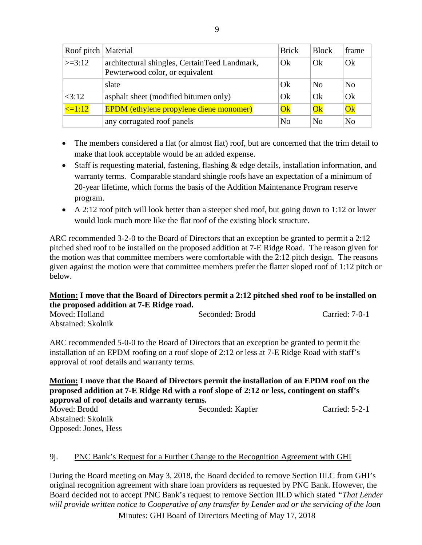| Roof pitch   Material |                                                                                  | <b>Brick</b>    | <b>Block</b>           | frame          |
|-----------------------|----------------------------------------------------------------------------------|-----------------|------------------------|----------------|
| $\ge$ =3:12           | architectural shingles, CertainTeed Landmark,<br>Pewterwood color, or equivalent | Ok              | Ok                     | Ok             |
|                       | slate                                                                            | Ok              | No                     | N <sub>0</sub> |
| <3:12                 | asphalt sheet (modified bitumen only)                                            | Ok              | Ok                     | Ok             |
| $\leq$ =1:12          | <b>EPDM</b> (ethylene propylene diene monomer)                                   | $\overline{Ok}$ | $\overline{\text{Ok}}$ | Ok             |
|                       | any corrugated roof panels                                                       | N <sub>0</sub>  | No                     | N <sub>0</sub> |

- The members considered a flat (or almost flat) roof, but are concerned that the trim detail to make that look acceptable would be an added expense.
- Staff is requesting material, fastening, flashing & edge details, installation information, and warranty terms. Comparable standard shingle roofs have an expectation of a minimum of 20-year lifetime, which forms the basis of the Addition Maintenance Program reserve program.
- A 2:12 roof pitch will look better than a steeper shed roof, but going down to 1:12 or lower would look much more like the flat roof of the existing block structure.

ARC recommended 3-2-0 to the Board of Directors that an exception be granted to permit a 2:12 pitched shed roof to be installed on the proposed addition at 7-E Ridge Road. The reason given for the motion was that committee members were comfortable with the 2:12 pitch design. The reasons given against the motion were that committee members prefer the flatter sloped roof of 1:12 pitch or below.

## **Motion: I move that the Board of Directors permit a 2:12 pitched shed roof to be installed on the proposed addition at 7-E Ridge road.**

| Moved: Holland     | Seconded: Brodd | Carried: 7-0-1 |
|--------------------|-----------------|----------------|
| Abstained: Skolnik |                 |                |

ARC recommended 5-0-0 to the Board of Directors that an exception be granted to permit the installation of an EPDM roofing on a roof slope of 2:12 or less at 7-E Ridge Road with staff's approval of roof details and warranty terms.

### **Motion: I move that the Board of Directors permit the installation of an EPDM roof on the proposed addition at 7-E Ridge Rd with a roof slope of 2:12 or less, contingent on staff's approval of roof details and warranty terms.**

| Moved: Brodd         | Seconded: Kapfer | Carried: 5-2-1 |
|----------------------|------------------|----------------|
| Abstained: Skolnik   |                  |                |
| Opposed: Jones, Hess |                  |                |

# 9j. PNC Bank's Request for a Further Change to the Recognition Agreement with GHI

During the Board meeting on May 3, 2018, the Board decided to remove Section III.C from GHI's original recognition agreement with share loan providers as requested by PNC Bank. However, the Board decided not to accept PNC Bank's request to remove Section III.D which stated *"That Lender will provide written notice to Cooperative of any transfer by Lender and or the servicing of the loan* 

Minutes: GHI Board of Directors Meeting of May 17, 2018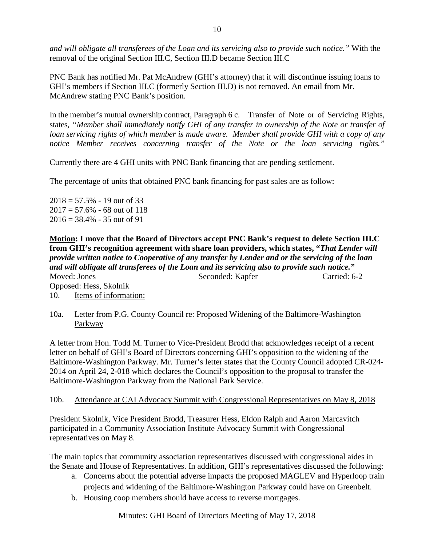*and will obligate all transferees of the Loan and its servicing also to provide such notice."* With the removal of the original Section III.C, Section III.D became Section III.C

PNC Bank has notified Mr. Pat McAndrew (GHI's attorney) that it will discontinue issuing loans to GHI's members if Section III.C (formerly Section III.D) is not removed. An email from Mr. McAndrew stating PNC Bank's position.

In the member's mutual ownership contract, Paragraph 6 c. Transfer of Note or of Servicing Rights, states, *"Member shall immediately notify GHI of any transfer in ownership of the Note or transfer of loan servicing rights of which member is made aware. Member shall provide GHI with a copy of any notice Member receives concerning transfer of the Note or the loan servicing rights."*

Currently there are 4 GHI units with PNC Bank financing that are pending settlement.

The percentage of units that obtained PNC bank financing for past sales are as follow:

 $2018 = 57.5\% - 19$  out of 33  $2017 = 57.6\% - 68$  out of 118  $2016 = 38.4\% - 35$  out of 91

**Motion: I move that the Board of Directors accept PNC Bank's request to delete Section III.C from GHI's recognition agreement with share loan providers, which states, "***That Lender will provide written notice to Cooperative of any transfer by Lender and or the servicing of the loan and will obligate all transferees of the Loan and its servicing also to provide such notice."* Moved: Jones Seconded: Kapfer Carried: 6-2 Opposed: Hess, Skolnik 10. Items of information:

10a. Letter from P.G. County Council re: Proposed Widening of the Baltimore-Washington Parkway

A letter from Hon. Todd M. Turner to Vice-President Brodd that acknowledges receipt of a recent letter on behalf of GHI's Board of Directors concerning GHI's opposition to the widening of the Baltimore-Washington Parkway. Mr. Turner's letter states that the County Council adopted CR-024- 2014 on April 24, 2-018 which declares the Council's opposition to the proposal to transfer the Baltimore-Washington Parkway from the National Park Service.

#### 10b. Attendance at CAI Advocacy Summit with Congressional Representatives on May 8, 2018

President Skolnik, Vice President Brodd, Treasurer Hess, Eldon Ralph and Aaron Marcavitch participated in a Community Association Institute Advocacy Summit with Congressional representatives on May 8.

The main topics that community association representatives discussed with congressional aides in the Senate and House of Representatives. In addition, GHI's representatives discussed the following:

- a. Concerns about the potential adverse impacts the proposed MAGLEV and Hyperloop train projects and widening of the Baltimore-Washington Parkway could have on Greenbelt.
- b. Housing coop members should have access to reverse mortgages.

Minutes: GHI Board of Directors Meeting of May 17, 2018